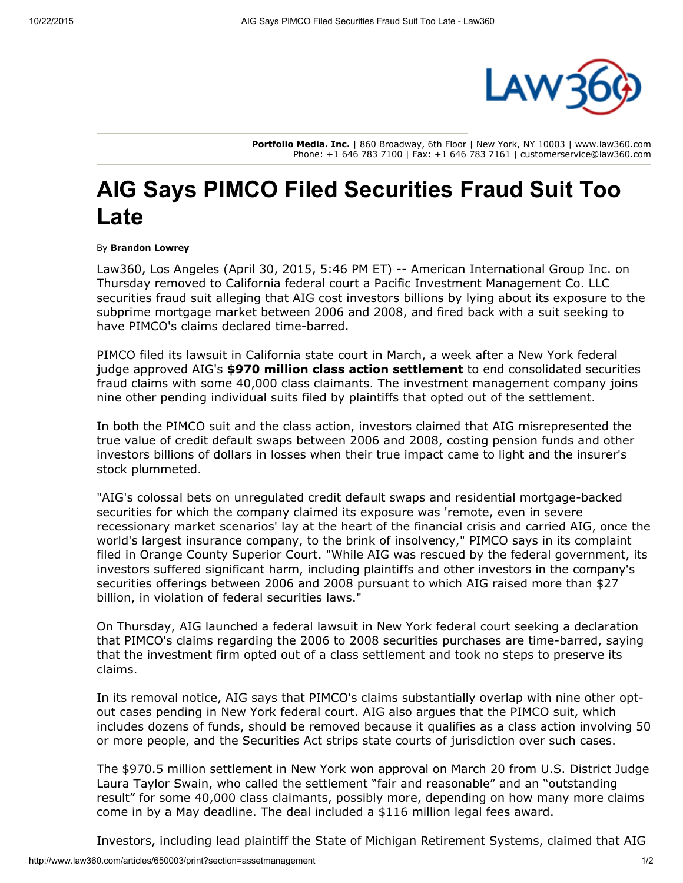

Portfolio Media. Inc. | 860 Broadway, 6th Floor | New York, NY 10003 | www.law360.com Phone: +1 646 783 7100 | Fax: +1 646 783 7161 | customerservice@law360.com

## AIG Says PIMCO Filed Securities Fraud Suit Too Late

By Brandon Lowrey

Law360, Los Angeles (April 30, 2015, 5:46 PM ET) -- American [International](http://www.law360.com/company/american-international-group-inc) Group Inc. on Thursday removed to California federal court a Pacific Investment [Management](http://www.law360.com/company/pacific-investment-management-company) Co. LLC securities fraud suit alleging that [AIG](http://www.law360.com/company/insurance-australia) cost investors billions by lying about its exposure to the subprime mortgage market between 2006 and 2008, and fired back with a suit seeking to have PIMCO's claims declared time-barred.

PIMCO filed its lawsuit in California state court in March, a week after a New York federal judge approved AIG's \$970 million class action [settlement](http://www.law360.com/articles/634205/judge-oks-970m-aig-deal-with-firms-scoring-116m) to end consolidated securities fraud claims with some 40,000 class claimants. The investment management company joins nine other pending individual suits filed by plaintiffs that opted out of the settlement.

In both the PIMCO suit and the class action, investors claimed that AIG misrepresented the true value of credit default swaps between 2006 and 2008, costing pension funds and other investors billions of dollars in losses when their true impact came to light and the insurer's stock plummeted.

"AIG's colossal bets on unregulated credit default swaps and residential mortgage-backed securities for which the company claimed its exposure was 'remote, even in severe recessionary market scenarios' lay at the heart of the financial crisis and carried AIG, once the world's largest insurance company, to the brink of insolvency," PIMCO says in its complaint filed in Orange County Superior Court. "While AIG was rescued by the federal government, its investors suffered significant harm, including plaintiffs and other investors in the company's securities offerings between 2006 and 2008 pursuant to which AIG raised more than \$27 billion, in violation of federal securities laws."

On Thursday, AIG launched a federal lawsuit in New York federal court seeking a declaration that PIMCO's claims regarding the 2006 to 2008 securities purchases are time-barred, saying that the investment firm opted out of a class settlement and took no steps to preserve its claims.

In its removal notice, AIG says that PIMCO's claims substantially overlap with nine other optout cases pending in New York federal court. AIG also argues that the PIMCO suit, which includes dozens of funds, should be removed because it qualifies as a class action involving 50 or more people, and the Securities Act strips state courts of jurisdiction over such cases.

The \$970.5 million settlement in New York won approval on March 20 from U.S. District Judge Laura Taylor Swain, who called the settlement "fair and reasonable" and an "outstanding result" for some 40,000 class claimants, possibly more, depending on how many more claims come in by a May deadline. The deal included a \$116 million legal fees award.

Investors, including lead plaintiff the State of Michigan Retirement Systems, claimed that AIG